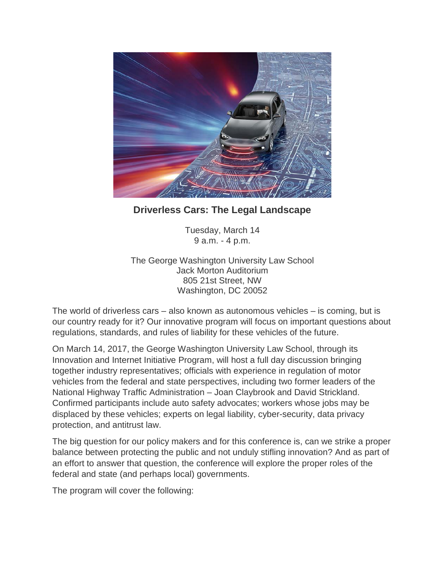

## **Driverless Cars: The Legal Landscape**

Tuesday, March 14 9 a.m. - 4 p.m.

The George Washington University Law School Jack Morton Auditorium 805 21st Street, NW Washington, DC 20052

The world of driverless cars – also known as autonomous vehicles – is coming, but is our country ready for it? Our innovative program will focus on important questions about regulations, standards, and rules of liability for these vehicles of the future.

On March 14, 2017, the George Washington University Law School, through its Innovation and Internet Initiative Program, will host a full day discussion bringing together industry representatives; officials with experience in regulation of motor vehicles from the federal and state perspectives, including two former leaders of the National Highway Traffic Administration – Joan Claybrook and David Strickland. Confirmed participants include auto safety advocates; workers whose jobs may be displaced by these vehicles; experts on legal liability, cyber-security, data privacy protection, and antitrust law.

The big question for our policy makers and for this conference is, can we strike a proper balance between protecting the public and not unduly stifling innovation? And as part of an effort to answer that question, the conference will explore the proper roles of the federal and state (and perhaps local) governments.

The program will cover the following: